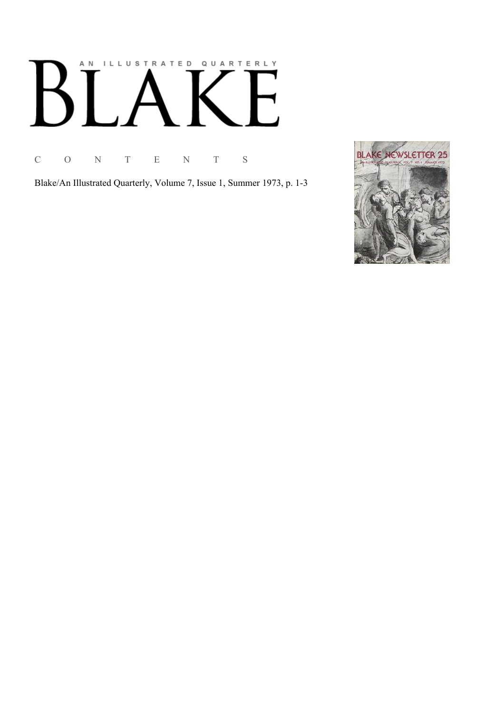# AN ILLUSTRATED QUARTERLY  $\boldsymbol{\beta}$  $\Box$ í

C O N T E N T S

Blake/An Illustrated Quarterly, Volume 7, Issue 1, Summer 1973, p. 1-3

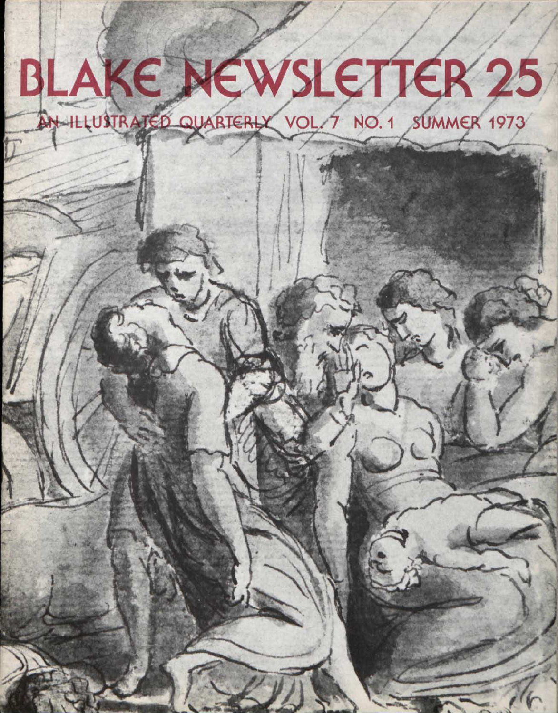# BLAKE NEWSLETTER 25

AN ILLUSTRATED QUARTERLY VOL. 7 NO. 1 SUMMER 1973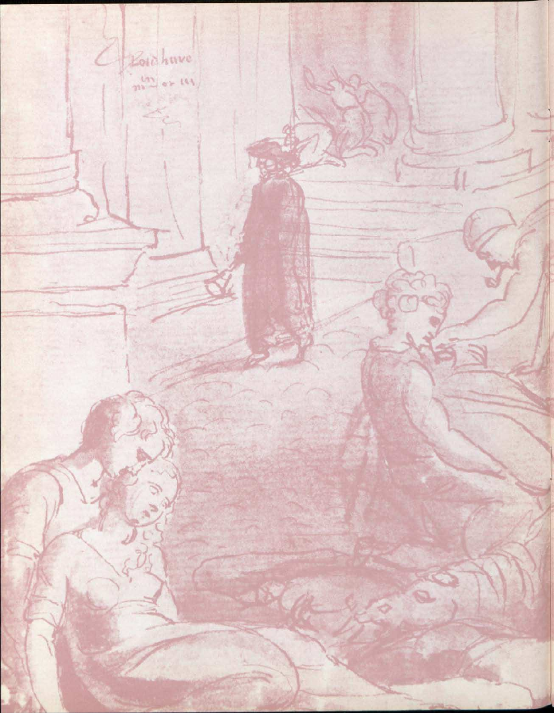